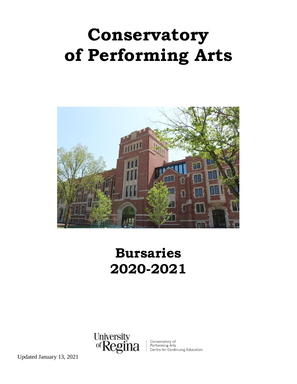# **Conservatory of Performing Arts**



# **Bursaries 2020-2021**



Conservatory of<br>Performing Arts<br>Centre for Continuing Education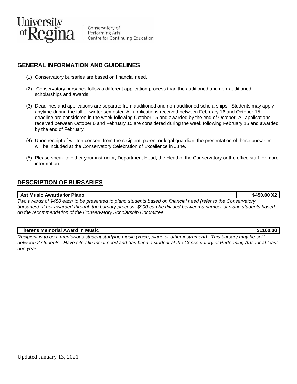

Conservatory of Performing Arts Centre for Continuing Education

# **GENERAL INFORMATION AND GUIDELINES**

- (1) Conservatory bursaries are based on financial need.
- (2) Conservatory bursaries follow a different application process than the auditioned and non-auditioned scholarships and awards.
- (3) Deadlines and applications are separate from auditioned and non-auditioned scholarships. Students may apply anytime during the fall or winter semester. All applications received between February 16 and October 15 deadline are considered in the week following October 15 and awarded by the end of October. All applications received between October 6 and February 15 are considered during the week following February 15 and awarded by the end of February.
- (4) Upon receipt of written consent from the recipient, parent or legal guardian, the presentation of these bursaries will be included at the Conservatory Celebration of Excellence in June.
- (5) Please speak to either your instructor, Department Head, the Head of the Conservatory or the office staff for more information.

## **DESCRIPTION OF BURSARIES**

#### **Ast Music Awards for Piano 8450.00 X2**

*Two awards of \$450 each to be presented to piano students based on financial need (refer to the Conservatory bursaries). If not awarded through the bursary process, \$900 can be divided between a number of piano students based on the recommendation of the Conservatory Scholarship Committee.* 

#### **Therens Memorial Award in Music \$1100.00**

*Recipient is to be a meritorious student studying music (voice, piano or other instrument). This bursary may be split between 2 students. Have cited financial need and has been a student at the Conservatory of Performing Arts for at least one year.*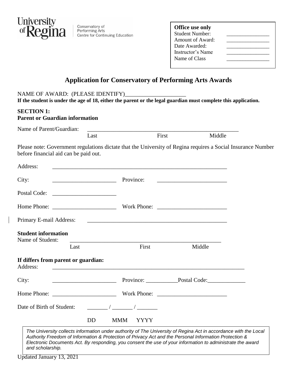

Conservatory of Performing Arts<br>Centre for Continuing Education

| <b>Office use only</b><br>Student Number:<br>Amount of Award:<br>Date Awarded:<br>Instructor's Name |  |
|-----------------------------------------------------------------------------------------------------|--|
| Name of Class                                                                                       |  |

# **Application for Conservatory of Performing Arts Awards**

### NAME OF AWARD: (PLEASE IDENTIFY)

**If the student is under the age of 18, either the parent or the legal guardian must complete this application.**

#### **SECTION 1:**

#### **Parent or Guardian information**

| Name of Parent/Guardian:                        | Last      | First                                                                 |                                                                                                                                                                                                                                      | Middle                                                                                                       |
|-------------------------------------------------|-----------|-----------------------------------------------------------------------|--------------------------------------------------------------------------------------------------------------------------------------------------------------------------------------------------------------------------------------|--------------------------------------------------------------------------------------------------------------|
| before financial aid can be paid out.           |           |                                                                       |                                                                                                                                                                                                                                      | Please note: Government regulations dictate that the University of Regina requires a Social Insurance Number |
| Address:                                        |           | <u> 1989 - Jan James James Barnett, amerikan berlindar (h. 1989).</u> |                                                                                                                                                                                                                                      |                                                                                                              |
| City:                                           | Province: |                                                                       | <u> 1989 - Johann John Harry Harry Harry Harry Harry Harry Harry Harry Harry Harry Harry Harry Harry Harry Harry Harry Harry Harry Harry Harry Harry Harry Harry Harry Harry Harry Harry Harry Harry Harry Harry Harry Harry Har</u> |                                                                                                              |
| Postal Code:                                    |           |                                                                       |                                                                                                                                                                                                                                      |                                                                                                              |
|                                                 |           |                                                                       |                                                                                                                                                                                                                                      |                                                                                                              |
|                                                 |           |                                                                       |                                                                                                                                                                                                                                      |                                                                                                              |
| <b>Student information</b><br>Name of Student:  |           |                                                                       |                                                                                                                                                                                                                                      |                                                                                                              |
|                                                 | Last      | First                                                                 | Middle                                                                                                                                                                                                                               |                                                                                                              |
| If differs from parent or guardian:<br>Address: |           |                                                                       |                                                                                                                                                                                                                                      |                                                                                                              |
| City:                                           |           |                                                                       | Province: Postal Code:                                                                                                                                                                                                               |                                                                                                              |
|                                                 |           |                                                                       |                                                                                                                                                                                                                                      |                                                                                                              |
| Date of Birth of Student:                       |           | $\sqrt{2}$ $\sqrt{2}$                                                 |                                                                                                                                                                                                                                      |                                                                                                              |
|                                                 | <b>DD</b> | <b>MMM</b><br><b>YYYY</b>                                             |                                                                                                                                                                                                                                      |                                                                                                              |

*The University collects information under authority of The University of Regina Act in accordance with the Local Authority Freedom of Information & Protection of Privacy Act and the Personal Information Protection & Electronic Documents Act. By responding, you consent the use of your information to administrate the award and scholarship.*

Updated January 13, 2021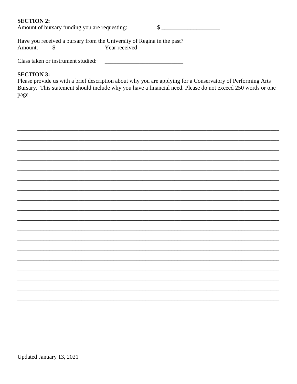#### **SECTION 2:**

Amount of bursary funding you are requesting:  $\mathbb{S}$ 

Have you received a bursary from the University of Regina in the past? Amount:  $\frac{\text{S}}{\text{S}}$ Year received <u> 1999 - Johann Barnett, fransk konge</u>

Class taken or instrument studied:

#### **SECTION 3:**

Please provide us with a brief description about why you are applying for a Conservatory of Performing Arts Bursary. This statement should include why you have a financial need. Please do not exceed 250 words or one page.